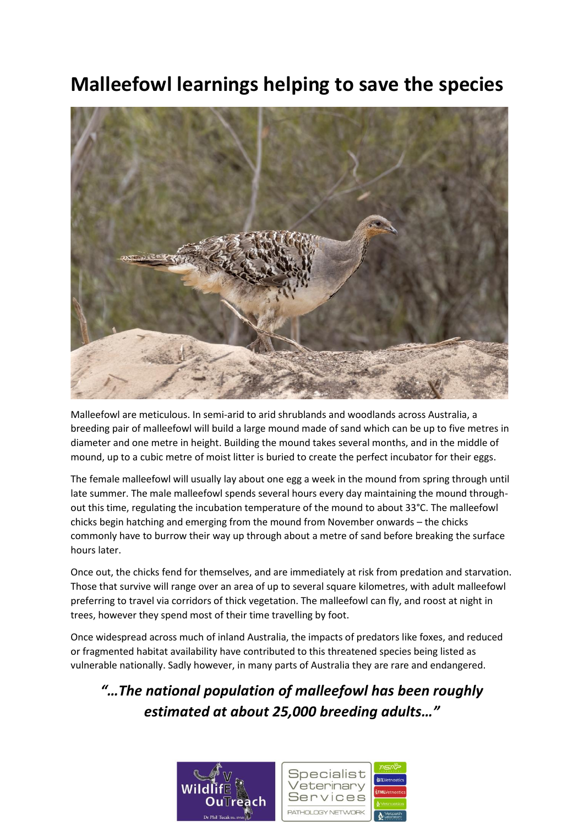## **Malleefowl learnings helping to save the species**



Malleefowl are meticulous. In semi-arid to arid shrublands and woodlands across Australia, a breeding pair of malleefowl will build a large mound made of sand which can be up to five metres in diameter and one metre in height. Building the mound takes several months, and in the middle of mound, up to a cubic metre of moist litter is buried to create the perfect incubator for their eggs.

The female malleefowl will usually lay about one egg a week in the mound from spring through until late summer. The male malleefowl spends several hours every day maintaining the mound throughout this time, regulating the incubation temperature of the mound to about 33°C. The malleefowl chicks begin hatching and emerging from the mound from November onwards – the chicks commonly have to burrow their way up through about a metre of sand before breaking the surface hours later.

Once out, the chicks fend for themselves, and are immediately at risk from predation and starvation. Those that survive will range over an area of up to several square kilometres, with adult malleefowl preferring to travel via corridors of thick vegetation. The malleefowl can fly, and roost at night in trees, however they spend most of their time travelling by foot.

Once widespread across much of inland Australia, the impacts of predators like foxes, and reduced or fragmented habitat availability have contributed to this threatened species being listed as vulnerable nationally. Sadly however, in many parts of Australia they are rare and endangered.

## *"…The national population of malleefowl has been roughly estimated at about 25,000 breeding adults…"*

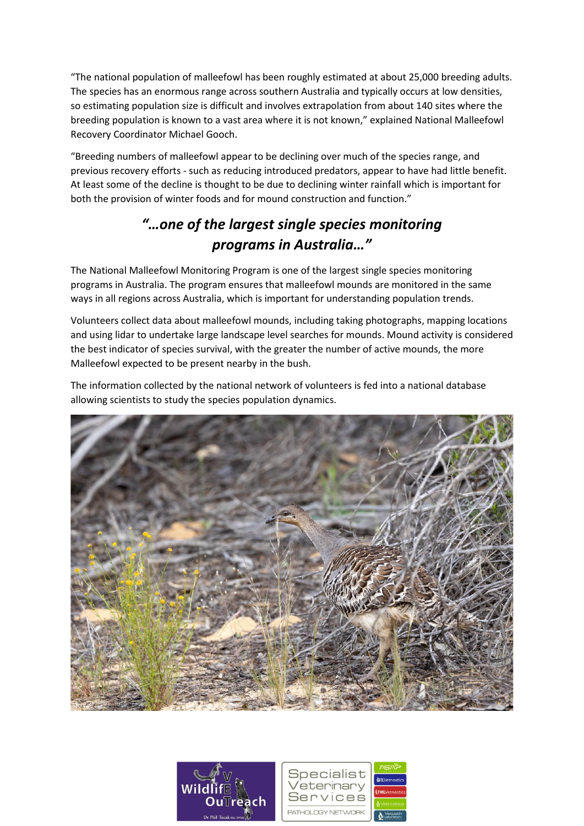"The national population of malleefowl has been roughly estimated at about 25,000 breeding adults. The species has an enormous range across southern Australia and typically occurs at low densities, so estimating population size is difficult and involves extrapolation from about 140 sites where the breeding population is known to a vast area where it is not known," explained National Malleefowl Recovery Coordinator Michael Gooch.

"Breeding numbers of malleefowl appear to be declining over much of the species range, and previous recovery efforts - such as reducing introduced predators, appear to have had little benefit. At least some of the decline is thought to be due to declining winter rainfall which is important for both the provision of winter foods and for mound construction and function."

## *"…one of the largest single species monitoring programs in Australia…"*

The National Malleefowl Monitoring Program is one of the largest single species monitoring programs in Australia. The program ensures that malleefowl mounds are monitored in the same ways in all regions across Australia, which is important for understanding population trends.

Volunteers collect data about malleefowl mounds, including taking photographs, mapping locations and using lidar to undertake large landscape level searches for mounds. Mound activity is considered the best indicator of species survival, with the greater the number of active mounds, the more Malleefowl expected to be present nearby in the bush.

The information collected by the national network of volunteers is fed into a national database allowing scientists to study the species population dynamics.